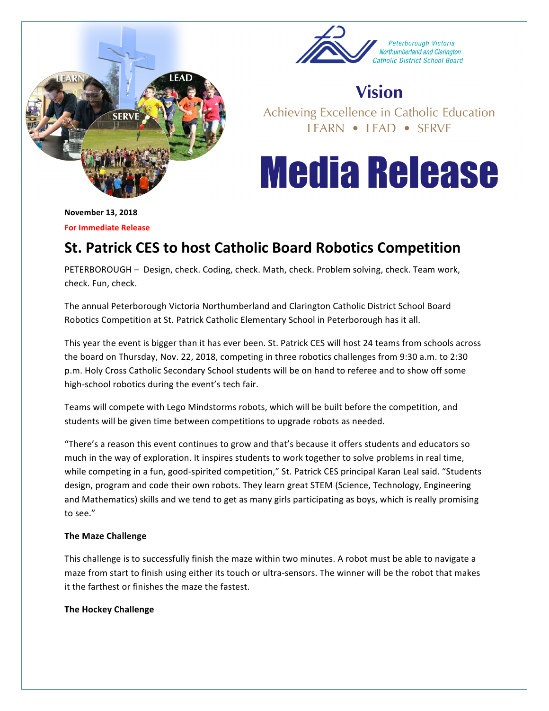



## **Vision**

Achieving Excellence in Catholic Education LEARN • LEAD • SERVE

# **Media Release**

**November 13, 2018 For Immediate Release** 

## **St. Patrick CES to host Catholic Board Robotics Competition**

PETERBOROUGH - Design, check. Coding, check. Math, check. Problem solving, check. Team work, check. Fun, check.

The annual Peterborough Victoria Northumberland and Clarington Catholic District School Board Robotics Competition at St. Patrick Catholic Elementary School in Peterborough has it all.

This year the event is bigger than it has ever been. St. Patrick CES will host 24 teams from schools across the board on Thursday, Nov. 22, 2018, competing in three robotics challenges from 9:30 a.m. to 2:30 p.m. Holy Cross Catholic Secondary School students will be on hand to referee and to show off some high-school robotics during the event's tech fair.

Teams will compete with Lego Mindstorms robots, which will be built before the competition, and students will be given time between competitions to upgrade robots as needed.

"There's a reason this event continues to grow and that's because it offers students and educators so much in the way of exploration. It inspires students to work together to solve problems in real time, while competing in a fun, good-spirited competition," St. Patrick CES principal Karan Leal said. "Students design, program and code their own robots. They learn great STEM (Science, Technology, Engineering and Mathematics) skills and we tend to get as many girls participating as boys, which is really promising to see."

### **The Maze Challenge**

This challenge is to successfully finish the maze within two minutes. A robot must be able to navigate a maze from start to finish using either its touch or ultra-sensors. The winner will be the robot that makes it the farthest or finishes the maze the fastest.

### **The Hockey Challenge**